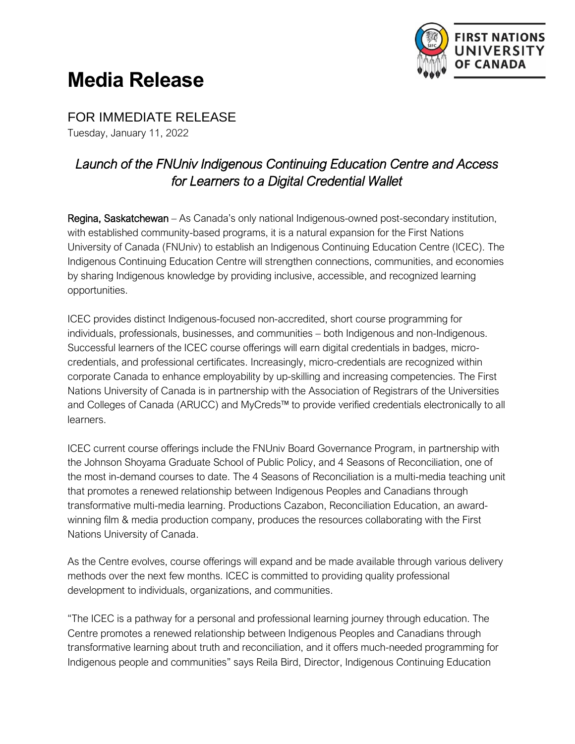

## **Media Release**

FOR IMMEDIATE RELEASE

Tuesday, January 11, 2022

## *Launch of the FNUniv Indigenous Continuing Education Centre and Access for Learners to a Digital Credential Wallet*

Regina, Saskatchewan – As Canada's only national Indigenous-owned post-secondary institution, with established community-based programs, it is a natural expansion for the First Nations University of Canada (FNUniv) to establish an Indigenous Continuing Education Centre (ICEC). The Indigenous Continuing Education Centre will strengthen connections, communities, and economies by sharing Indigenous knowledge by providing inclusive, accessible, and recognized learning opportunities.

ICEC provides distinct Indigenous-focused non-accredited, short course programming for individuals, professionals, businesses, and communities – both Indigenous and non-Indigenous. Successful learners of the ICEC course offerings will earn digital credentials in badges, microcredentials, and professional certificates. Increasingly, micro-credentials are recognized within corporate Canada to enhance employability by up-skilling and increasing competencies. The First Nations University of Canada is in partnership with the Association of Registrars of the Universities and Colleges of Canada (ARUCC) and MyCreds™ to provide verified credentials electronically to all learners.

ICEC current course offerings include the FNUniv Board Governance Program, in partnership with the Johnson Shoyama Graduate School of Public Policy, and 4 Seasons of Reconciliation, one of the most in-demand courses to date. The 4 Seasons of Reconciliation is a multi-media teaching unit that promotes a renewed relationship between Indigenous Peoples and Canadians through transformative multi-media learning. Productions Cazabon, Reconciliation Education, an awardwinning film & media production company, produces the resources collaborating with the First Nations University of Canada.

As the Centre evolves, course offerings will expand and be made available through various delivery methods over the next few months. ICEC is committed to providing quality professional development to individuals, organizations, and communities.

"The ICEC is a pathway for a personal and professional learning journey through education. The Centre promotes a renewed relationship between Indigenous Peoples and Canadians through transformative learning about truth and reconciliation, and it offers much-needed programming for Indigenous people and communities" says Reila Bird, Director, Indigenous Continuing Education